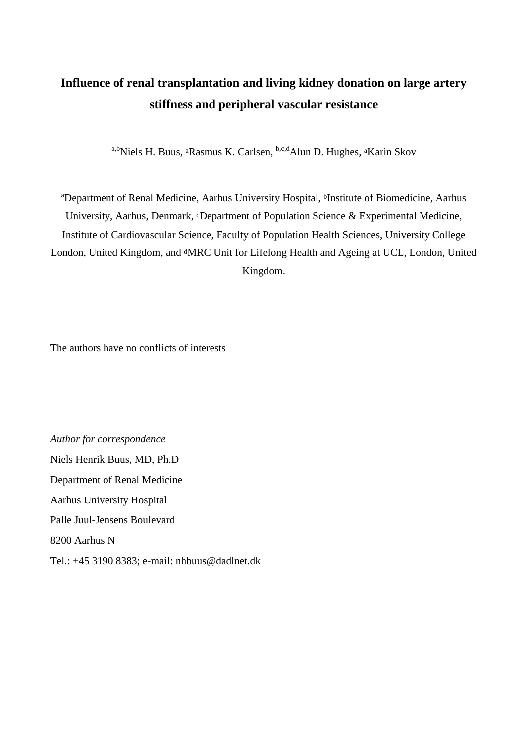# **Influence of renal transplantation and living kidney donation on large artery stiffness and peripheral vascular resistance**

a,b<sub>Niels</sub> H. Buus, <sup>a</sup>Rasmus K. Carlsen, <sup>b,c,d</sup>Alun D. Hughes, <sup>a</sup>Karin Skov

<sup>a</sup>Department of Renal Medicine, Aarhus University Hospital, bInstitute of Biomedicine, Aarhus University, Aarhus, Denmark, cDepartment of Population Science & Experimental Medicine, Institute of Cardiovascular Science, Faculty of Population Health Sciences, University College London, United Kingdom, and dMRC Unit for Lifelong Health and Ageing at UCL, London, United Kingdom.

The authors have no conflicts of interests

*Author for correspondence*  Niels Henrik Buus, MD, Ph.D Department of Renal Medicine Aarhus University Hospital Palle Juul-Jensens Boulevard 8200 Aarhus N Tel.: +45 3190 8383; e-mail: nhbuus@dadlnet.dk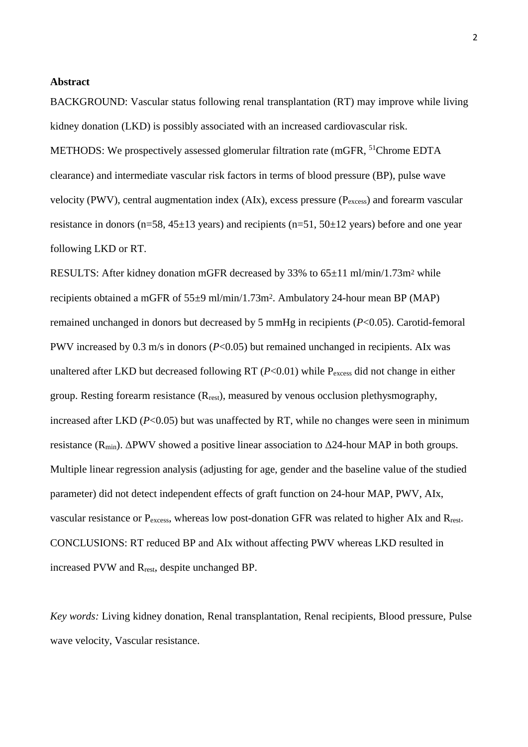#### **Abstract**

BACKGROUND: Vascular status following renal transplantation (RT) may improve while living kidney donation (LKD) is possibly associated with an increased cardiovascular risk.

METHODS: We prospectively assessed glomerular filtration rate (mGFR, <sup>51</sup>Chrome EDTA clearance) and intermediate vascular risk factors in terms of blood pressure (BP), pulse wave velocity (PWV), central augmentation index (AIx), excess pressure (Pexcess) and forearm vascular resistance in donors ( $n=58$ ,  $45\pm13$  years) and recipients ( $n=51$ ,  $50\pm12$  years) before and one year following LKD or RT.

RESULTS: After kidney donation mGFR decreased by 33% to 65±11 ml/min/1.73m<sup>2</sup> while recipients obtained a mGFR of 55±9 ml/min/1.73m2. Ambulatory 24-hour mean BP (MAP) remained unchanged in donors but decreased by 5 mmHg in recipients (*P*<0.05). Carotid-femoral PWV increased by 0.3 m/s in donors (*P*<0.05) but remained unchanged in recipients. AIx was unaltered after LKD but decreased following RT ( $P<0.01$ ) while P<sub>excess</sub> did not change in either group. Resting forearm resistance  $(R_{rest})$ , measured by venous occlusion plethysmography, increased after LKD  $(P<0.05)$  but was unaffected by RT, while no changes were seen in minimum resistance (R<sub>min</sub>). ΔPWV showed a positive linear association to  $Δ24$ -hour MAP in both groups. Multiple linear regression analysis (adjusting for age, gender and the baseline value of the studied parameter) did not detect independent effects of graft function on 24-hour MAP, PWV, AIx, vascular resistance or P<sub>excess</sub>, whereas low post-donation GFR was related to higher AIx and R<sub>rest</sub>. CONCLUSIONS: RT reduced BP and AIx without affecting PWV whereas LKD resulted in increased PVW and Rrest, despite unchanged BP.

*Key words:* Living kidney donation, Renal transplantation, Renal recipients, Blood pressure, Pulse wave velocity, Vascular resistance.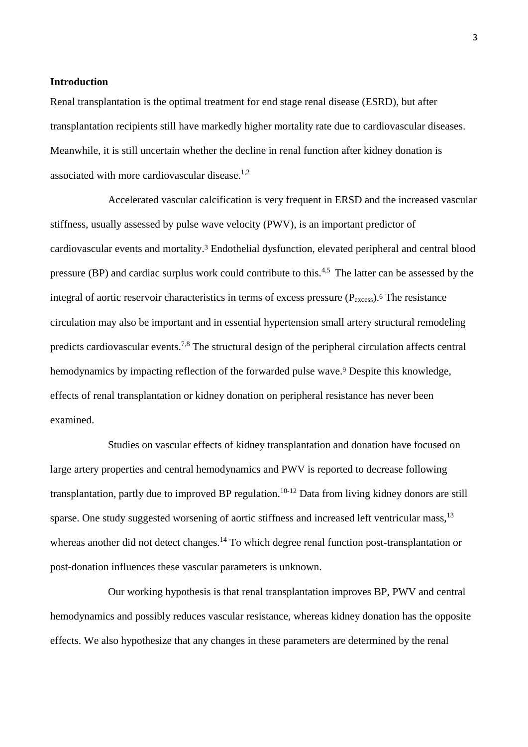#### **Introduction**

Renal transplantation is the optimal treatment for end stage renal disease (ESRD), but after transplantation recipients still have markedly higher mortality rate due to cardiovascular diseases. Meanwhile, it is still uncertain whether the decline in renal function after kidney donation is associated with more cardiovascular disease. $1,2$ 

Accelerated vascular calcification is very frequent in ERSD and the increased vascular stiffness, usually assessed by pulse wave velocity (PWV), is an important predictor of cardiovascular events and mortality.3 Endothelial dysfunction, elevated peripheral and central blood pressure (BP) and cardiac surplus work could contribute to this.4,5 The latter can be assessed by the integral of aortic reservoir characteristics in terms of excess pressure  $(P_{excess})$ .<sup>6</sup> The resistance circulation may also be important and in essential hypertension small artery structural remodeling predicts cardiovascular events.7,8 The structural design of the peripheral circulation affects central hemodynamics by impacting reflection of the forwarded pulse wave.9 Despite this knowledge, effects of renal transplantation or kidney donation on peripheral resistance has never been examined.

Studies on vascular effects of kidney transplantation and donation have focused on large artery properties and central hemodynamics and PWV is reported to decrease following transplantation, partly due to improved BP regulation.<sup>10-12</sup> Data from living kidney donors are still sparse. One study suggested worsening of aortic stiffness and increased left ventricular mass,<sup>13</sup> whereas another did not detect changes.<sup>14</sup> To which degree renal function post-transplantation or post-donation influences these vascular parameters is unknown.

Our working hypothesis is that renal transplantation improves BP, PWV and central hemodynamics and possibly reduces vascular resistance, whereas kidney donation has the opposite effects. We also hypothesize that any changes in these parameters are determined by the renal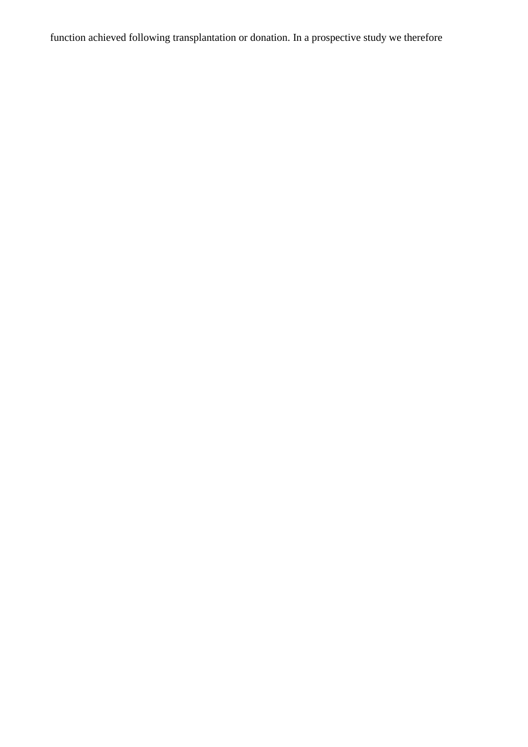function achieved following transplantation or donation. In a prospective study we therefore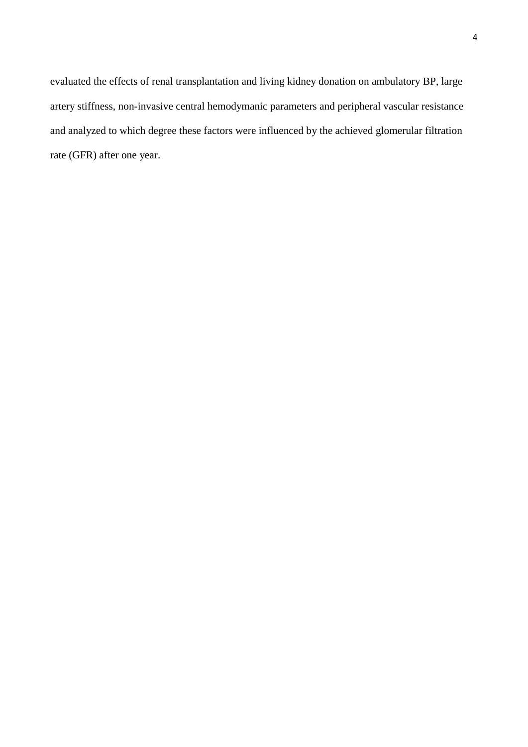evaluated the effects of renal transplantation and living kidney donation on ambulatory BP, large artery stiffness, non-invasive central hemodymanic parameters and peripheral vascular resistance and analyzed to which degree these factors were influenced by the achieved glomerular filtration rate (GFR) after one year.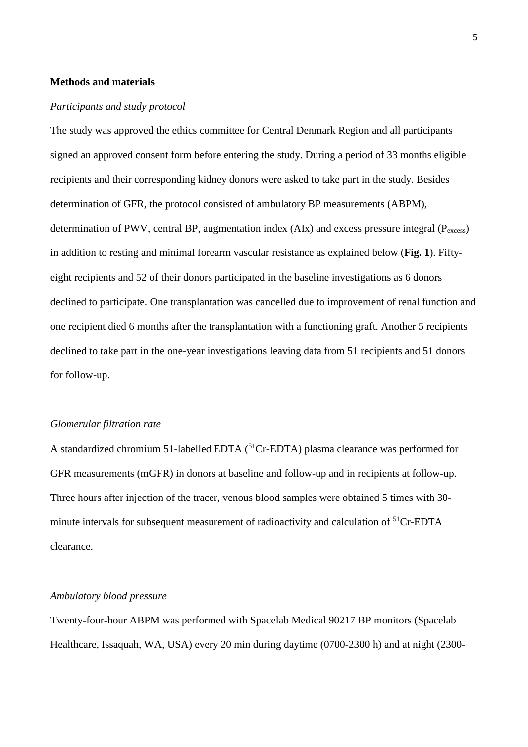# **Methods and materials**

#### *Participants and study protocol*

The study was approved the ethics committee for Central Denmark Region and all participants signed an approved consent form before entering the study. During a period of 33 months eligible recipients and their corresponding kidney donors were asked to take part in the study. Besides determination of GFR, the protocol consisted of ambulatory BP measurements (ABPM), determination of PWV, central BP, augmentation index  $(AX)$  and excess pressure integral  $(P_{excess})$ in addition to resting and minimal forearm vascular resistance as explained below (**Fig. 1**). Fiftyeight recipients and 52 of their donors participated in the baseline investigations as 6 donors declined to participate. One transplantation was cancelled due to improvement of renal function and one recipient died 6 months after the transplantation with a functioning graft. Another 5 recipients declined to take part in the one-year investigations leaving data from 51 recipients and 51 donors for follow-up.

# *Glomerular filtration rate*

A standardized chromium 51-labelled EDTA  $(^{51}Cr$ -EDTA) plasma clearance was performed for GFR measurements (mGFR) in donors at baseline and follow-up and in recipients at follow-up. Three hours after injection of the tracer, venous blood samples were obtained 5 times with 30 minute intervals for subsequent measurement of radioactivity and calculation of <sup>51</sup>Cr-EDTA clearance.

# *Ambulatory blood pressure*

Twenty-four-hour ABPM was performed with Spacelab Medical 90217 BP monitors (Spacelab Healthcare, Issaquah, WA, USA) every 20 min during daytime (0700-2300 h) and at night (2300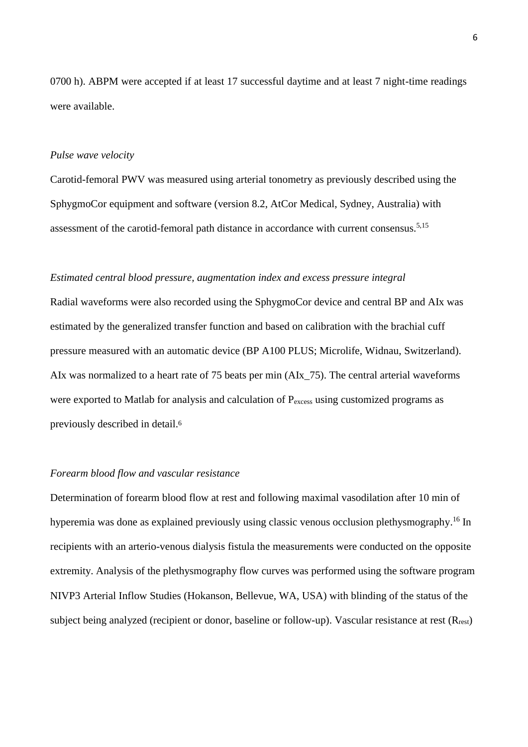0700 h). ABPM were accepted if at least 17 successful daytime and at least 7 night-time readings were available.

#### *Pulse wave velocity*

Carotid-femoral PWV was measured using arterial tonometry as previously described using the SphygmoCor equipment and software (version 8.2, AtCor Medical, Sydney, Australia) with assessment of the carotid-femoral path distance in accordance with current consensus.<sup>5,15</sup>

# *Estimated central blood pressure, augmentation index and excess pressure integral*

Radial waveforms were also recorded using the SphygmoCor device and central BP and AIx was estimated by the generalized transfer function and based on calibration with the brachial cuff pressure measured with an automatic device (BP A100 PLUS; Microlife, Widnau, Switzerland). AIx was normalized to a heart rate of 75 beats per min (AIx\_75). The central arterial waveforms were exported to Matlab for analysis and calculation of  $P_{excess}$  using customized programs as previously described in detail.<sup>6</sup>

# *Forearm blood flow and vascular resistance*

Determination of forearm blood flow at rest and following maximal vasodilation after 10 min of hyperemia was done as explained previously using classic venous occlusion plethysmography.<sup>16</sup> In recipients with an arterio-venous dialysis fistula the measurements were conducted on the opposite extremity. Analysis of the plethysmography flow curves was performed using the software program NIVP3 Arterial Inflow Studies (Hokanson, Bellevue, WA, USA) with blinding of the status of the subject being analyzed (recipient or donor, baseline or follow-up). Vascular resistance at rest (R<sub>rest</sub>)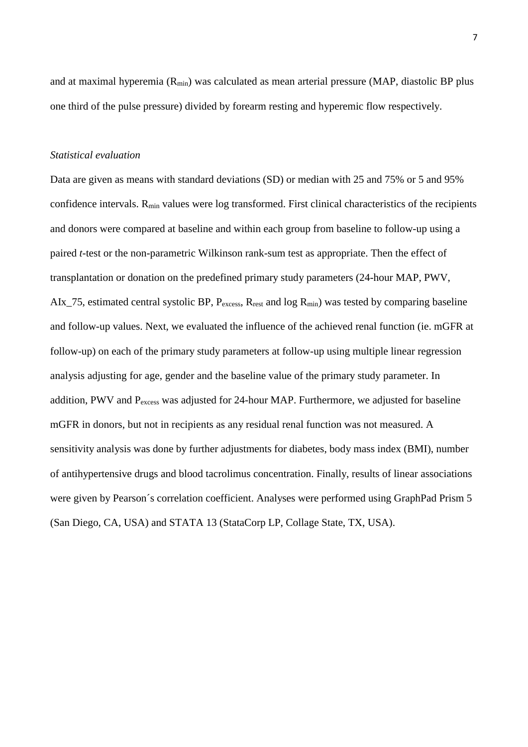and at maximal hyperemia  $(R_{min})$  was calculated as mean arterial pressure (MAP, diastolic BP plus one third of the pulse pressure) divided by forearm resting and hyperemic flow respectively.

## *Statistical evaluation*

Data are given as means with standard deviations (SD) or median with 25 and 75% or 5 and 95% confidence intervals. Rmin values were log transformed. First clinical characteristics of the recipients and donors were compared at baseline and within each group from baseline to follow-up using a paired *t*-test or the non-parametric Wilkinson rank-sum test as appropriate. Then the effect of transplantation or donation on the predefined primary study parameters (24-hour MAP, PWV, AIx\_75, estimated central systolic BP, Pexcess, R<sub>rest</sub> and log R<sub>min</sub>) was tested by comparing baseline and follow-up values. Next, we evaluated the influence of the achieved renal function (ie. mGFR at follow-up) on each of the primary study parameters at follow-up using multiple linear regression analysis adjusting for age, gender and the baseline value of the primary study parameter. In addition, PWV and P<sub>excess</sub> was adjusted for 24-hour MAP. Furthermore, we adjusted for baseline mGFR in donors, but not in recipients as any residual renal function was not measured. A sensitivity analysis was done by further adjustments for diabetes, body mass index (BMI), number of antihypertensive drugs and blood tacrolimus concentration. Finally, results of linear associations were given by Pearson´s correlation coefficient. Analyses were performed using GraphPad Prism 5 (San Diego, CA, USA) and STATA 13 (StataCorp LP, Collage State, TX, USA).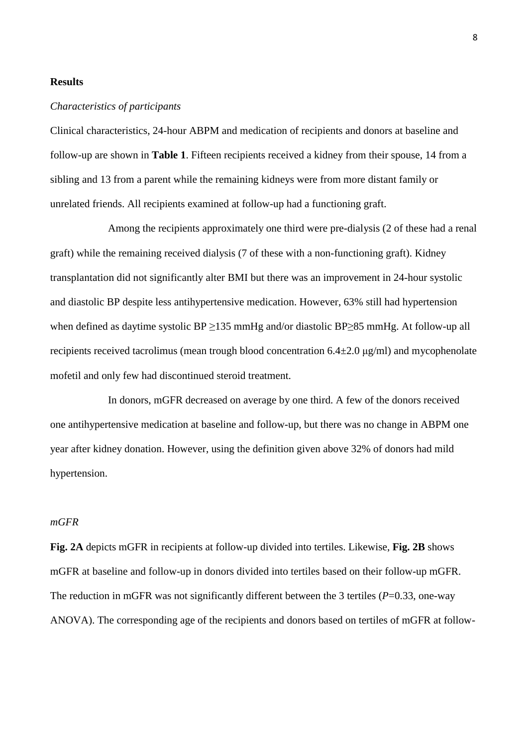#### **Results**

# *Characteristics of participants*

Clinical characteristics, 24-hour ABPM and medication of recipients and donors at baseline and follow-up are shown in **Table 1**. Fifteen recipients received a kidney from their spouse, 14 from a sibling and 13 from a parent while the remaining kidneys were from more distant family or unrelated friends. All recipients examined at follow-up had a functioning graft.

Among the recipients approximately one third were pre-dialysis (2 of these had a renal graft) while the remaining received dialysis (7 of these with a non-functioning graft). Kidney transplantation did not significantly alter BMI but there was an improvement in 24-hour systolic and diastolic BP despite less antihypertensive medication. However, 63% still had hypertension when defined as daytime systolic BP ≥135 mmHg and/or diastolic BP≥85 mmHg. At follow-up all recipients received tacrolimus (mean trough blood concentration  $6.4\pm2.0 \,\mu g/ml$ ) and mycophenolate mofetil and only few had discontinued steroid treatment.

In donors, mGFR decreased on average by one third. A few of the donors received one antihypertensive medication at baseline and follow-up, but there was no change in ABPM one year after kidney donation. However, using the definition given above 32% of donors had mild hypertension.

# *mGFR*

**Fig. 2A** depicts mGFR in recipients at follow-up divided into tertiles. Likewise, **Fig. 2B** shows mGFR at baseline and follow-up in donors divided into tertiles based on their follow-up mGFR. The reduction in mGFR was not significantly different between the 3 tertiles (*P*=0.33, one-way ANOVA). The corresponding age of the recipients and donors based on tertiles of mGFR at follow-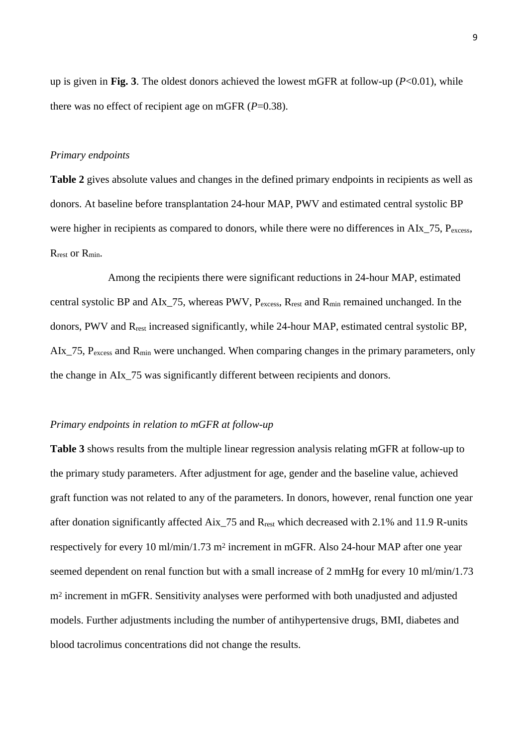up is given in **Fig. 3**. The oldest donors achieved the lowest mGFR at follow-up (*P*<0.01), while there was no effect of recipient age on mGFR (*P*=0.38).

# *Primary endpoints*

**Table 2** gives absolute values and changes in the defined primary endpoints in recipients as well as donors. At baseline before transplantation 24-hour MAP, PWV and estimated central systolic BP were higher in recipients as compared to donors, while there were no differences in AIx  $75$ ,  $P_{excess}$ , R<sub>rest</sub> or R<sub>min</sub>.

Among the recipients there were significant reductions in 24-hour MAP, estimated central systolic BP and AIx\_75, whereas PWV, P<sub>excess</sub>, R<sub>rest</sub> and R<sub>min</sub> remained unchanged. In the donors, PWV and Rrest increased significantly, while 24-hour MAP, estimated central systolic BP, AIx 75, P<sub>excess</sub> and R<sub>min</sub> were unchanged. When comparing changes in the primary parameters, only the change in AIx\_75 was significantly different between recipients and donors.

#### *Primary endpoints in relation to mGFR at follow-up*

**Table 3** shows results from the multiple linear regression analysis relating mGFR at follow-up to the primary study parameters. After adjustment for age, gender and the baseline value, achieved graft function was not related to any of the parameters. In donors, however, renal function one year after donation significantly affected Aix\_75 and Rrest which decreased with 2.1% and 11.9 R-units respectively for every 10 ml/min/1.73 m2 increment in mGFR. Also 24-hour MAP after one year seemed dependent on renal function but with a small increase of 2 mmHg for every 10 ml/min/1.73 m2 increment in mGFR. Sensitivity analyses were performed with both unadjusted and adjusted models. Further adjustments including the number of antihypertensive drugs, BMI, diabetes and blood tacrolimus concentrations did not change the results.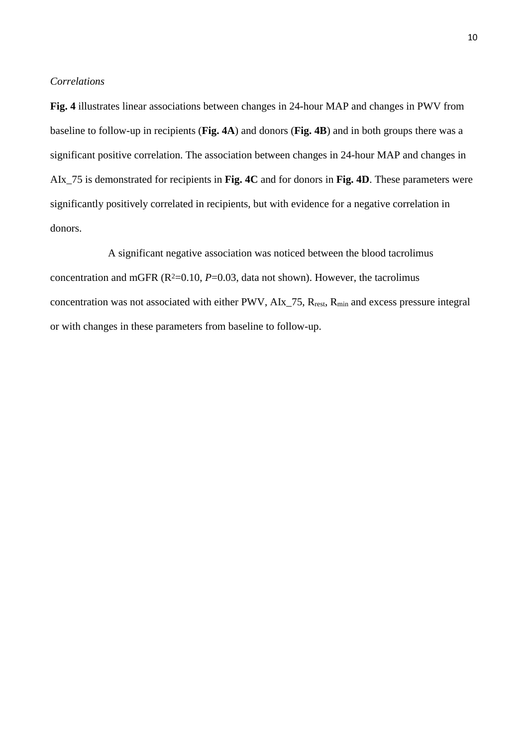#### *Correlations*

**Fig. 4** illustrates linear associations between changes in 24-hour MAP and changes in PWV from baseline to follow-up in recipients (**Fig. 4A**) and donors (**Fig. 4B**) and in both groups there was a significant positive correlation. The association between changes in 24-hour MAP and changes in AIx\_75 is demonstrated for recipients in **Fig. 4C** and for donors in **Fig. 4D**. These parameters were significantly positively correlated in recipients, but with evidence for a negative correlation in donors.

A significant negative association was noticed between the blood tacrolimus concentration and mGFR  $(R^2=0.10, P=0.03,$  data not shown). However, the tacrolimus concentration was not associated with either PWV, AIx\_75, R<sub>rest</sub>, R<sub>min</sub> and excess pressure integral or with changes in these parameters from baseline to follow-up.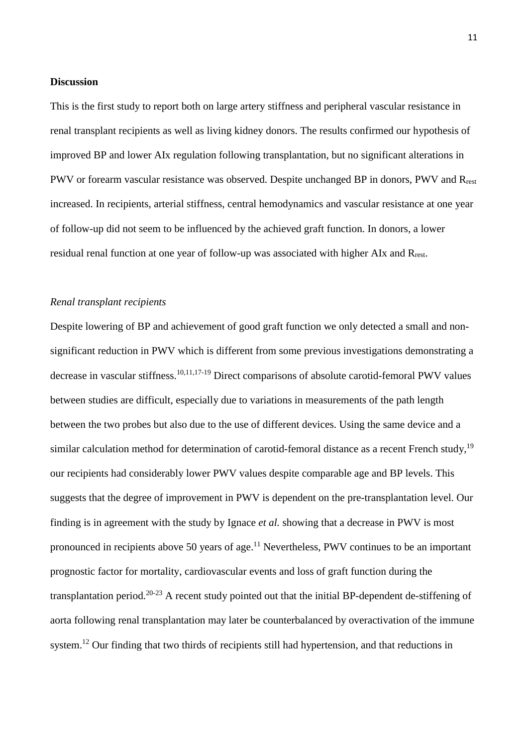#### **Discussion**

This is the first study to report both on large artery stiffness and peripheral vascular resistance in renal transplant recipients as well as living kidney donors. The results confirmed our hypothesis of improved BP and lower AIx regulation following transplantation, but no significant alterations in PWV or forearm vascular resistance was observed. Despite unchanged BP in donors, PWV and R<sub>rest</sub> increased. In recipients, arterial stiffness, central hemodynamics and vascular resistance at one year of follow-up did not seem to be influenced by the achieved graft function. In donors, a lower residual renal function at one year of follow-up was associated with higher AIx and Rrest.

# *Renal transplant recipients*

Despite lowering of BP and achievement of good graft function we only detected a small and nonsignificant reduction in PWV which is different from some previous investigations demonstrating a decrease in vascular stiffness.<sup>10,11,17-19</sup> Direct comparisons of absolute carotid-femoral PWV values between studies are difficult, especially due to variations in measurements of the path length between the two probes but also due to the use of different devices. Using the same device and a similar calculation method for determination of carotid-femoral distance as a recent French study,<sup>19</sup> our recipients had considerably lower PWV values despite comparable age and BP levels. This suggests that the degree of improvement in PWV is dependent on the pre-transplantation level. Our finding is in agreement with the study by Ignace *et al.* showing that a decrease in PWV is most pronounced in recipients above 50 years of age. $^{11}$  Nevertheless, PWV continues to be an important prognostic factor for mortality, cardiovascular events and loss of graft function during the transplantation period.20-23 A recent study pointed out that the initial BP-dependent de-stiffening of aorta following renal transplantation may later be counterbalanced by overactivation of the immune system.<sup>12</sup> Our finding that two thirds of recipients still had hypertension, and that reductions in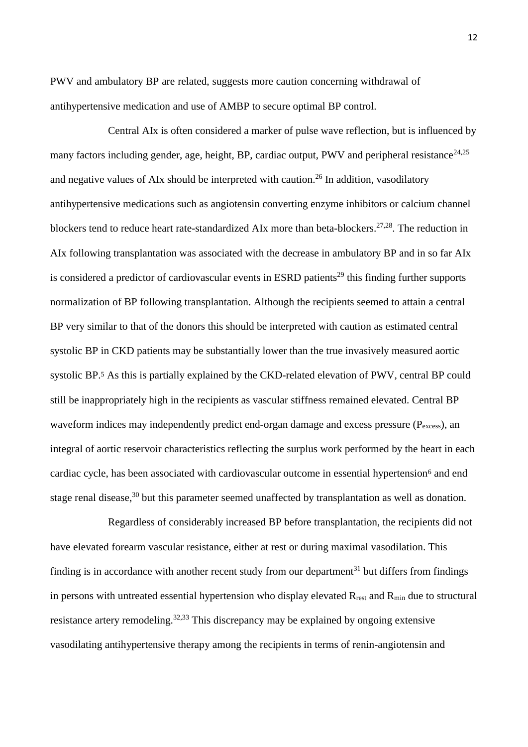PWV and ambulatory BP are related, suggests more caution concerning withdrawal of antihypertensive medication and use of AMBP to secure optimal BP control.

Central AIx is often considered a marker of pulse wave reflection, but is influenced by many factors including gender, age, height, BP, cardiac output, PWV and peripheral resistance<sup>24,25</sup> and negative values of AIx should be interpreted with caution.<sup>26</sup> In addition, vasodilatory antihypertensive medications such as angiotensin converting enzyme inhibitors or calcium channel blockers tend to reduce heart rate-standardized AIx more than beta-blockers.<sup>27,28</sup>. The reduction in AIx following transplantation was associated with the decrease in ambulatory BP and in so far AIx is considered a predictor of cardiovascular events in ESRD patients<sup>29</sup> this finding further supports normalization of BP following transplantation. Although the recipients seemed to attain a central BP very similar to that of the donors this should be interpreted with caution as estimated central systolic BP in CKD patients may be substantially lower than the true invasively measured aortic systolic BP.5 As this is partially explained by the CKD-related elevation of PWV, central BP could still be inappropriately high in the recipients as vascular stiffness remained elevated. Central BP waveform indices may independently predict end-organ damage and excess pressure (P<sub>excess</sub>), an integral of aortic reservoir characteristics reflecting the surplus work performed by the heart in each cardiac cycle, has been associated with cardiovascular outcome in essential hypertension<sup>6</sup> and end stage renal disease,<sup>30</sup> but this parameter seemed unaffected by transplantation as well as donation.

Regardless of considerably increased BP before transplantation, the recipients did not have elevated forearm vascular resistance, either at rest or during maximal vasodilation. This finding is in accordance with another recent study from our department<sup>31</sup> but differs from findings in persons with untreated essential hypertension who display elevated  $R_{rest}$  and  $R_{min}$  due to structural resistance artery remodeling.<sup>32,33</sup> This discrepancy may be explained by ongoing extensive vasodilating antihypertensive therapy among the recipients in terms of renin-angiotensin and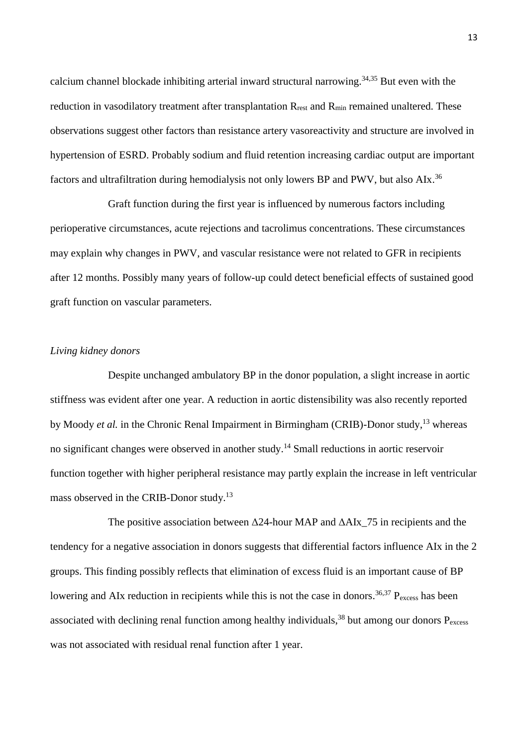calcium channel blockade inhibiting arterial inward structural narrowing.34,35 But even with the reduction in vasodilatory treatment after transplantation R<sub>rest</sub> and R<sub>min</sub> remained unaltered. These observations suggest other factors than resistance artery vasoreactivity and structure are involved in hypertension of ESRD. Probably sodium and fluid retention increasing cardiac output are important factors and ultrafiltration during hemodialysis not only lowers BP and PWV, but also AIx.<sup>36</sup>

Graft function during the first year is influenced by numerous factors including perioperative circumstances, acute rejections and tacrolimus concentrations. These circumstances may explain why changes in PWV, and vascular resistance were not related to GFR in recipients after 12 months. Possibly many years of follow-up could detect beneficial effects of sustained good graft function on vascular parameters.

# *Living kidney donors*

Despite unchanged ambulatory BP in the donor population, a slight increase in aortic stiffness was evident after one year. A reduction in aortic distensibility was also recently reported by Moody *et al.* in the Chronic Renal Impairment in Birmingham (CRIB)-Donor study,<sup>13</sup> whereas no significant changes were observed in another study.<sup>14</sup> Small reductions in aortic reservoir function together with higher peripheral resistance may partly explain the increase in left ventricular mass observed in the CRIB-Donor study.<sup>13</sup>

The positive association between  $\Delta$ 24-hour MAP and  $\Delta$ AIx 75 in recipients and the tendency for a negative association in donors suggests that differential factors influence AIx in the 2 groups. This finding possibly reflects that elimination of excess fluid is an important cause of BP lowering and AIx reduction in recipients while this is not the case in donors.<sup>36,37</sup>  $P_{excess}$  has been associated with declining renal function among healthy individuals,  $38$  but among our donors  $P_{\text{excess}}$ was not associated with residual renal function after 1 year.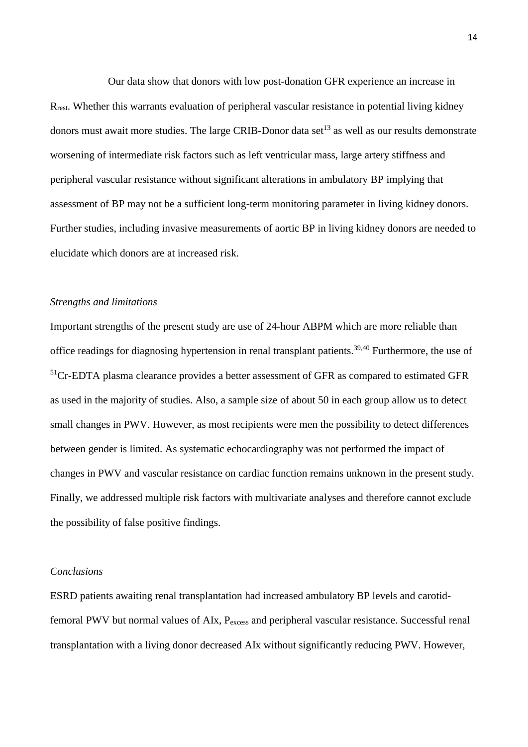Our data show that donors with low post-donation GFR experience an increase in Rrest. Whether this warrants evaluation of peripheral vascular resistance in potential living kidney donors must await more studies. The large CRIB-Donor data set<sup>13</sup> as well as our results demonstrate worsening of intermediate risk factors such as left ventricular mass, large artery stiffness and peripheral vascular resistance without significant alterations in ambulatory BP implying that assessment of BP may not be a sufficient long-term monitoring parameter in living kidney donors. Further studies, including invasive measurements of aortic BP in living kidney donors are needed to elucidate which donors are at increased risk.

# *Strengths and limitations*

Important strengths of the present study are use of 24-hour ABPM which are more reliable than office readings for diagnosing hypertension in renal transplant patients.39,40 Furthermore, the use of <sup>51</sup>Cr-EDTA plasma clearance provides a better assessment of GFR as compared to estimated GFR as used in the majority of studies. Also, a sample size of about 50 in each group allow us to detect small changes in PWV. However, as most recipients were men the possibility to detect differences between gender is limited. As systematic echocardiography was not performed the impact of changes in PWV and vascular resistance on cardiac function remains unknown in the present study. Finally, we addressed multiple risk factors with multivariate analyses and therefore cannot exclude the possibility of false positive findings.

#### *Conclusions*

ESRD patients awaiting renal transplantation had increased ambulatory BP levels and carotidfemoral PWV but normal values of AIx, Pexcess and peripheral vascular resistance. Successful renal transplantation with a living donor decreased AIx without significantly reducing PWV. However,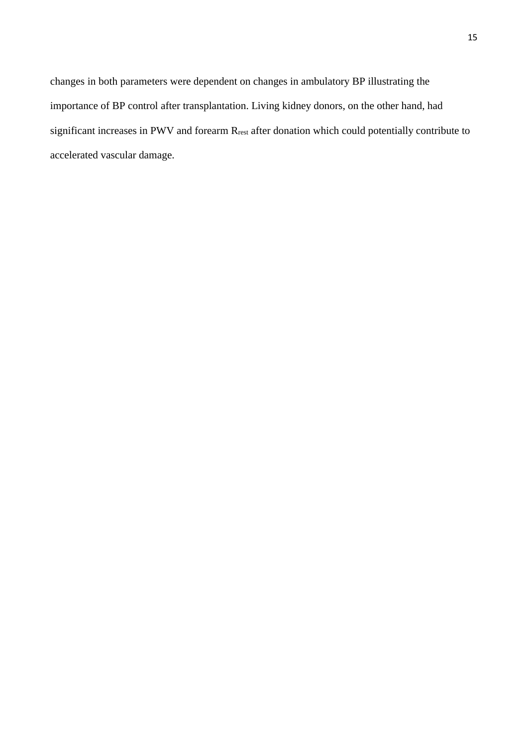changes in both parameters were dependent on changes in ambulatory BP illustrating the importance of BP control after transplantation. Living kidney donors, on the other hand, had significant increases in PWV and forearm Rrest after donation which could potentially contribute to accelerated vascular damage.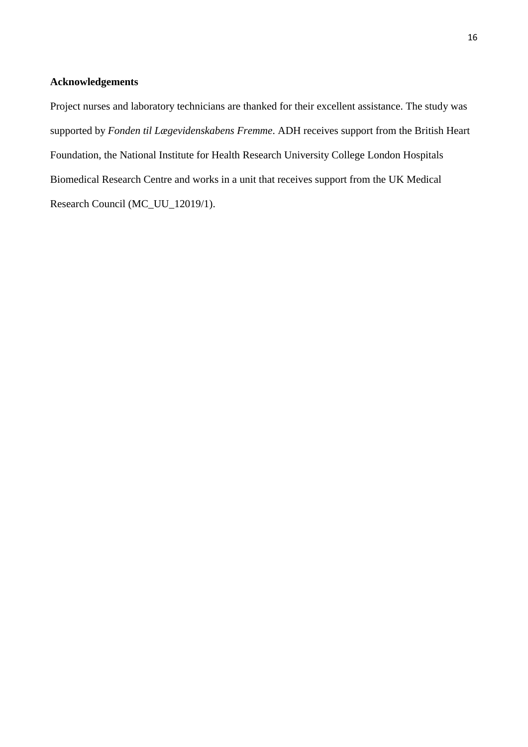# **Acknowledgements**

Project nurses and laboratory technicians are thanked for their excellent assistance. The study was supported by *Fonden til Lægevidenskabens Fremme*. ADH receives support from the British Heart Foundation, the National Institute for Health Research University College London Hospitals Biomedical Research Centre and works in a unit that receives support from the UK Medical Research Council (MC\_UU\_12019/1).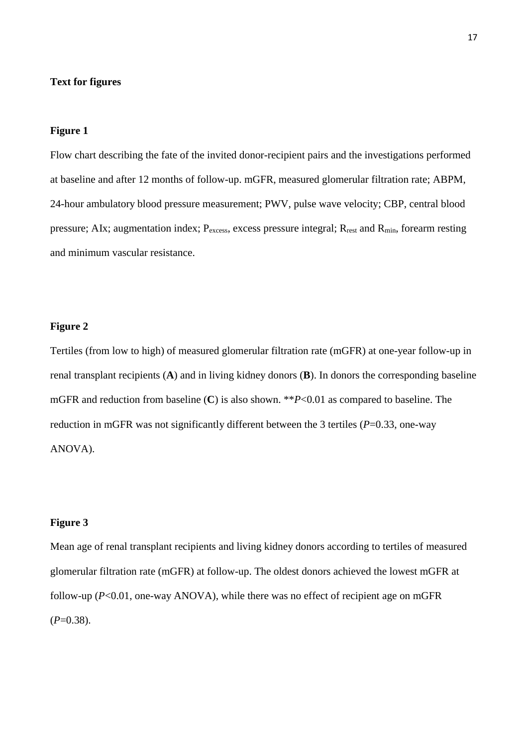# **Text for figures**

# **Figure 1**

Flow chart describing the fate of the invited donor-recipient pairs and the investigations performed at baseline and after 12 months of follow-up. mGFR, measured glomerular filtration rate; ABPM, 24-hour ambulatory blood pressure measurement; PWV, pulse wave velocity; CBP, central blood pressure; AIx; augmentation index;  $P_{excess}$ , excess pressure integral;  $R_{rest}$  and  $R_{min}$ , forearm resting and minimum vascular resistance.

#### **Figure 2**

Tertiles (from low to high) of measured glomerular filtration rate (mGFR) at one-year follow-up in renal transplant recipients (**A**) and in living kidney donors (**B**). In donors the corresponding baseline mGFR and reduction from baseline (**C**) is also shown. \*\**P*<0.01 as compared to baseline. The reduction in mGFR was not significantly different between the 3 tertiles (*P*=0.33, one-way ANOVA).

# **Figure 3**

Mean age of renal transplant recipients and living kidney donors according to tertiles of measured glomerular filtration rate (mGFR) at follow-up. The oldest donors achieved the lowest mGFR at follow-up (*P*<0.01, one-way ANOVA), while there was no effect of recipient age on mGFR  $(P=0.38)$ .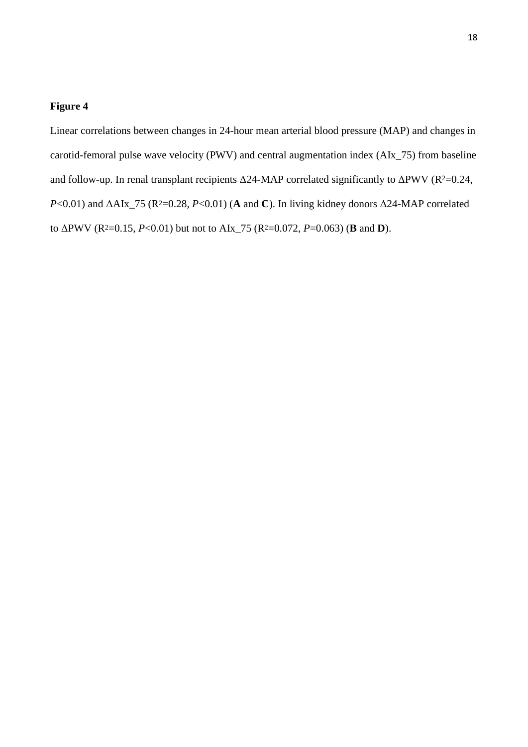Linear correlations between changes in 24-hour mean arterial blood pressure (MAP) and changes in carotid-femoral pulse wave velocity (PWV) and central augmentation index (AIx\_75) from baseline and follow-up. In renal transplant recipients  $\Delta$ 24-MAP correlated significantly to  $\Delta$ PWV (R<sup>2</sup>=0.24, *P*<0.01) and  $\Delta A Ix_{75}$  (R<sup>2</sup>=0.28, *P*<0.01) (**A** and **C**). In living kidney donors  $\Delta 24$ -MAP correlated to ΔPWV (R2=0.15, *P*<0.01) but not to AIx\_75 (R2=0.072, *P*=0.063) (**B** and **D**).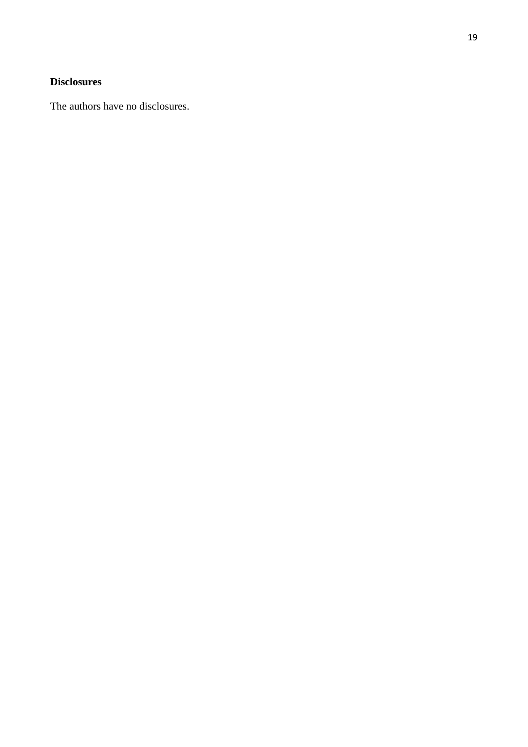# **Disclosures**

The authors have no disclosures.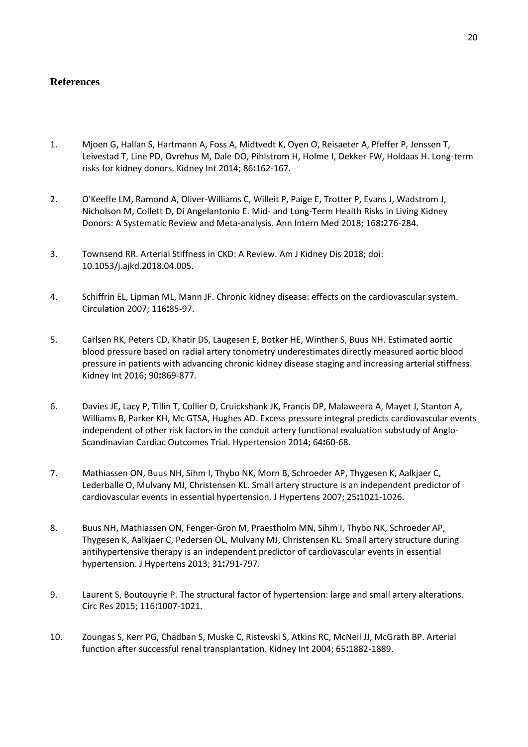# **References**

- 1. Mjoen G, Hallan S, Hartmann A, Foss A, Midtvedt K, Oyen O, Reisaeter A, Pfeffer P, Jenssen T, Leivestad T, Line PD, Ovrehus M, Dale DO, Pihlstrom H, Holme I, Dekker FW, Holdaas H. Long-term risks for kidney donors. Kidney Int 2014; 86**:**162-167.
- 2. O'Keeffe LM, Ramond A, Oliver-Williams C, Willeit P, Paige E, Trotter P, Evans J, Wadstrom J, Nicholson M, Collett D, Di Angelantonio E. Mid- and Long-Term Health Risks in Living Kidney Donors: A Systematic Review and Meta-analysis. Ann Intern Med 2018; 168**:**276-284.
- 3. Townsend RR. Arterial Stiffness in CKD: A Review. Am J Kidney Dis 2018; doi: 10.1053/j.ajkd.2018.04.005.
- 4. Schiffrin EL, Lipman ML, Mann JF. Chronic kidney disease: effects on the cardiovascular system. Circulation 2007; 116**:**85-97.
- 5. Carlsen RK, Peters CD, Khatir DS, Laugesen E, Botker HE, Winther S, Buus NH. Estimated aortic blood pressure based on radial artery tonometry underestimates directly measured aortic blood pressure in patients with advancing chronic kidney disease staging and increasing arterial stiffness. Kidney Int 2016; 90**:**869-877.
- 6. Davies JE, Lacy P, Tillin T, Collier D, Cruickshank JK, Francis DP, Malaweera A, Mayet J, Stanton A, Williams B, Parker KH, Mc GTSA, Hughes AD. Excess pressure integral predicts cardiovascular events independent of other risk factors in the conduit artery functional evaluation substudy of Anglo-Scandinavian Cardiac Outcomes Trial. Hypertension 2014; 64**:**60-68.
- 7. Mathiassen ON, Buus NH, Sihm I, Thybo NK, Morn B, Schroeder AP, Thygesen K, Aalkjaer C, Lederballe O, Mulvany MJ, Christensen KL. Small artery structure is an independent predictor of cardiovascular events in essential hypertension. J Hypertens 2007; 25**:**1021-1026.
- 8. Buus NH, Mathiassen ON, Fenger-Gron M, Praestholm MN, Sihm I, Thybo NK, Schroeder AP, Thygesen K, Aalkjaer C, Pedersen OL, Mulvany MJ, Christensen KL. Small artery structure during antihypertensive therapy is an independent predictor of cardiovascular events in essential hypertension. J Hypertens 2013; 31**:**791-797.
- 9. Laurent S, Boutouyrie P. The structural factor of hypertension: large and small artery alterations. Circ Res 2015; 116**:**1007-1021.
- 10. Zoungas S, Kerr PG, Chadban S, Muske C, Ristevski S, Atkins RC, McNeil JJ, McGrath BP. Arterial function after successful renal transplantation. Kidney Int 2004; 65**:**1882-1889.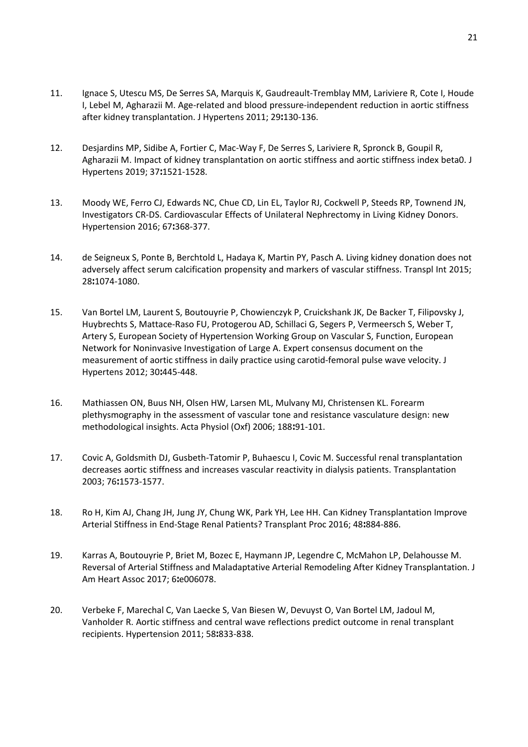- 11. Ignace S, Utescu MS, De Serres SA, Marquis K, Gaudreault-Tremblay MM, Lariviere R, Cote I, Houde I, Lebel M, Agharazii M. Age-related and blood pressure-independent reduction in aortic stiffness after kidney transplantation. J Hypertens 2011; 29**:**130-136.
- 12. Desjardins MP, Sidibe A, Fortier C, Mac-Way F, De Serres S, Lariviere R, Spronck B, Goupil R, Agharazii M. Impact of kidney transplantation on aortic stiffness and aortic stiffness index beta0. J Hypertens 2019; 37**:**1521-1528.
- 13. Moody WE, Ferro CJ, Edwards NC, Chue CD, Lin EL, Taylor RJ, Cockwell P, Steeds RP, Townend JN, Investigators CR-DS. Cardiovascular Effects of Unilateral Nephrectomy in Living Kidney Donors. Hypertension 2016; 67**:**368-377.
- 14. de Seigneux S, Ponte B, Berchtold L, Hadaya K, Martin PY, Pasch A. Living kidney donation does not adversely affect serum calcification propensity and markers of vascular stiffness. Transpl Int 2015; 28**:**1074-1080.
- 15. Van Bortel LM, Laurent S, Boutouyrie P, Chowienczyk P, Cruickshank JK, De Backer T, Filipovsky J, Huybrechts S, Mattace-Raso FU, Protogerou AD, Schillaci G, Segers P, Vermeersch S, Weber T, Artery S, European Society of Hypertension Working Group on Vascular S, Function, European Network for Noninvasive Investigation of Large A. Expert consensus document on the measurement of aortic stiffness in daily practice using carotid-femoral pulse wave velocity. J Hypertens 2012; 30**:**445-448.
- 16. Mathiassen ON, Buus NH, Olsen HW, Larsen ML, Mulvany MJ, Christensen KL. Forearm plethysmography in the assessment of vascular tone and resistance vasculature design: new methodological insights. Acta Physiol (Oxf) 2006; 188**:**91-101.
- 17. Covic A, Goldsmith DJ, Gusbeth-Tatomir P, Buhaescu I, Covic M. Successful renal transplantation decreases aortic stiffness and increases vascular reactivity in dialysis patients. Transplantation 2003; 76**:**1573-1577.
- 18. Ro H, Kim AJ, Chang JH, Jung JY, Chung WK, Park YH, Lee HH. Can Kidney Transplantation Improve Arterial Stiffness in End-Stage Renal Patients? Transplant Proc 2016; 48**:**884-886.
- 19. Karras A, Boutouyrie P, Briet M, Bozec E, Haymann JP, Legendre C, McMahon LP, Delahousse M. Reversal of Arterial Stiffness and Maladaptative Arterial Remodeling After Kidney Transplantation. J Am Heart Assoc 2017; 6**:**e006078.
- 20. Verbeke F, Marechal C, Van Laecke S, Van Biesen W, Devuyst O, Van Bortel LM, Jadoul M, Vanholder R. Aortic stiffness and central wave reflections predict outcome in renal transplant recipients. Hypertension 2011; 58**:**833-838.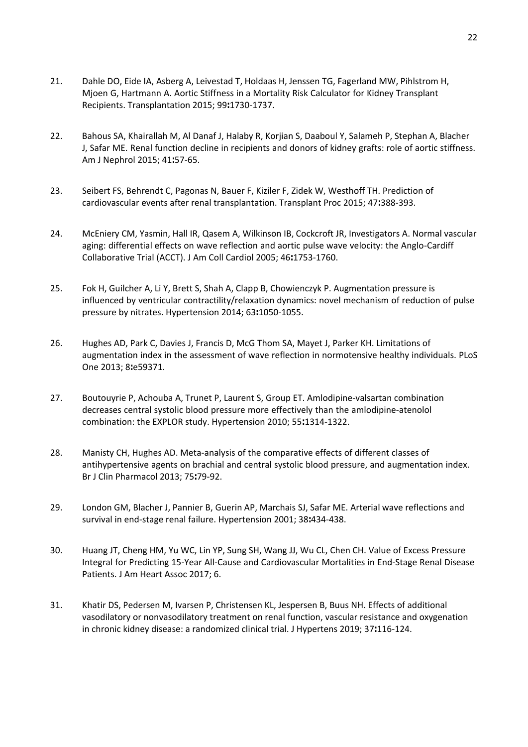- 21. Dahle DO, Eide IA, Asberg A, Leivestad T, Holdaas H, Jenssen TG, Fagerland MW, Pihlstrom H, Mjoen G, Hartmann A. Aortic Stiffness in a Mortality Risk Calculator for Kidney Transplant Recipients. Transplantation 2015; 99**:**1730-1737.
- 22. Bahous SA, Khairallah M, Al Danaf J, Halaby R, Korjian S, Daaboul Y, Salameh P, Stephan A, Blacher J, Safar ME. Renal function decline in recipients and donors of kidney grafts: role of aortic stiffness. Am J Nephrol 2015; 41**:**57-65.
- 23. Seibert FS, Behrendt C, Pagonas N, Bauer F, Kiziler F, Zidek W, Westhoff TH. Prediction of cardiovascular events after renal transplantation. Transplant Proc 2015; 47**:**388-393.
- 24. McEniery CM, Yasmin, Hall IR, Qasem A, Wilkinson IB, Cockcroft JR, Investigators A. Normal vascular aging: differential effects on wave reflection and aortic pulse wave velocity: the Anglo-Cardiff Collaborative Trial (ACCT). J Am Coll Cardiol 2005; 46**:**1753-1760.
- 25. Fok H, Guilcher A, Li Y, Brett S, Shah A, Clapp B, Chowienczyk P. Augmentation pressure is influenced by ventricular contractility/relaxation dynamics: novel mechanism of reduction of pulse pressure by nitrates. Hypertension 2014; 63**:**1050-1055.
- 26. Hughes AD, Park C, Davies J, Francis D, McG Thom SA, Mayet J, Parker KH. Limitations of augmentation index in the assessment of wave reflection in normotensive healthy individuals. PLoS One 2013; 8**:**e59371.
- 27. Boutouyrie P, Achouba A, Trunet P, Laurent S, Group ET. Amlodipine-valsartan combination decreases central systolic blood pressure more effectively than the amlodipine-atenolol combination: the EXPLOR study. Hypertension 2010; 55**:**1314-1322.
- 28. Manisty CH, Hughes AD. Meta-analysis of the comparative effects of different classes of antihypertensive agents on brachial and central systolic blood pressure, and augmentation index. Br J Clin Pharmacol 2013; 75**:**79-92.
- 29. London GM, Blacher J, Pannier B, Guerin AP, Marchais SJ, Safar ME. Arterial wave reflections and survival in end-stage renal failure. Hypertension 2001; 38**:**434-438.
- 30. Huang JT, Cheng HM, Yu WC, Lin YP, Sung SH, Wang JJ, Wu CL, Chen CH. Value of Excess Pressure Integral for Predicting 15-Year All-Cause and Cardiovascular Mortalities in End-Stage Renal Disease Patients. J Am Heart Assoc 2017; 6.
- 31. Khatir DS, Pedersen M, Ivarsen P, Christensen KL, Jespersen B, Buus NH. Effects of additional vasodilatory or nonvasodilatory treatment on renal function, vascular resistance and oxygenation in chronic kidney disease: a randomized clinical trial. J Hypertens 2019; 37**:**116-124.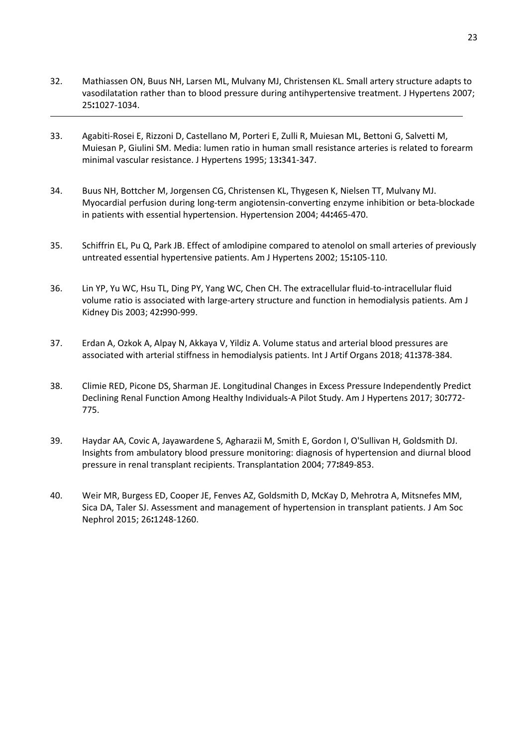- 32. Mathiassen ON, Buus NH, Larsen ML, Mulvany MJ, Christensen KL. Small artery structure adapts to vasodilatation rather than to blood pressure during antihypertensive treatment. J Hypertens 2007; 25**:**1027-1034.
- 33. Agabiti-Rosei E, Rizzoni D, Castellano M, Porteri E, Zulli R, Muiesan ML, Bettoni G, Salvetti M, Muiesan P, Giulini SM. Media: lumen ratio in human small resistance arteries is related to forearm minimal vascular resistance. J Hypertens 1995; 13**:**341-347.
- 34. Buus NH, Bottcher M, Jorgensen CG, Christensen KL, Thygesen K, Nielsen TT, Mulvany MJ. Myocardial perfusion during long-term angiotensin-converting enzyme inhibition or beta-blockade in patients with essential hypertension. Hypertension 2004; 44**:**465-470.
- 35. Schiffrin EL, Pu Q, Park JB. Effect of amlodipine compared to atenolol on small arteries of previously untreated essential hypertensive patients. Am J Hypertens 2002; 15**:**105-110.
- 36. Lin YP, Yu WC, Hsu TL, Ding PY, Yang WC, Chen CH. The extracellular fluid-to-intracellular fluid volume ratio is associated with large-artery structure and function in hemodialysis patients. Am J Kidney Dis 2003; 42**:**990-999.
- 37. Erdan A, Ozkok A, Alpay N, Akkaya V, Yildiz A. Volume status and arterial blood pressures are associated with arterial stiffness in hemodialysis patients. Int J Artif Organs 2018; 41**:**378-384.
- 38. Climie RED, Picone DS, Sharman JE. Longitudinal Changes in Excess Pressure Independently Predict Declining Renal Function Among Healthy Individuals-A Pilot Study. Am J Hypertens 2017; 30**:**772- 775.
- 39. Haydar AA, Covic A, Jayawardene S, Agharazii M, Smith E, Gordon I, O'Sullivan H, Goldsmith DJ. Insights from ambulatory blood pressure monitoring: diagnosis of hypertension and diurnal blood pressure in renal transplant recipients. Transplantation 2004; 77**:**849-853.
- 40. Weir MR, Burgess ED, Cooper JE, Fenves AZ, Goldsmith D, McKay D, Mehrotra A, Mitsnefes MM, Sica DA, Taler SJ. Assessment and management of hypertension in transplant patients. J Am Soc Nephrol 2015; 26**:**1248-1260.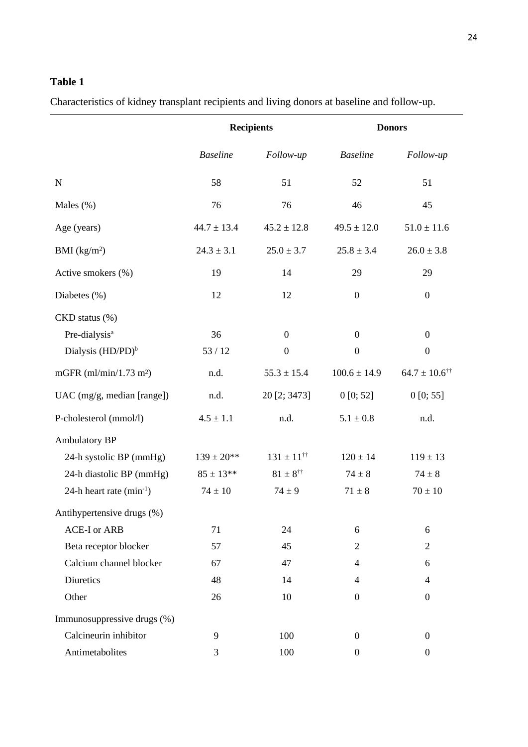# **Table 1**

Characteristics of kidney transplant recipients and living donors at baseline and follow-up.

|                               | <b>Recipients</b> |                               | <b>Donors</b>    |                                  |
|-------------------------------|-------------------|-------------------------------|------------------|----------------------------------|
|                               | <b>Baseline</b>   | Follow-up                     | <b>Baseline</b>  | Follow-up                        |
| ${\bf N}$                     | 58                | 51                            | 52               | 51                               |
| Males $(\%)$                  | 76                | 76                            | 46               | 45                               |
| Age (years)                   | $44.7 \pm 13.4$   | $45.2 \pm 12.8$               | $49.5 \pm 12.0$  | $51.0 \pm 11.6$                  |
| BMI (kg/m <sup>2</sup> )      | $24.3 \pm 3.1$    | $25.0 \pm 3.7$                | $25.8 \pm 3.4$   | $26.0 \pm 3.8$                   |
| Active smokers (%)            | 19                | 14                            | 29               | 29                               |
| Diabetes $(\%)$               | 12                | 12                            | $\boldsymbol{0}$ | $\boldsymbol{0}$                 |
| CKD status (%)                |                   |                               |                  |                                  |
| Pre-dialysis <sup>a</sup>     | 36                | $\boldsymbol{0}$              | $\overline{0}$   | $\boldsymbol{0}$                 |
| Dialysis (HD/PD) <sup>b</sup> | 53/12             | $\boldsymbol{0}$              | $\boldsymbol{0}$ | $\boldsymbol{0}$                 |
| mGFR $(ml/min/1.73 m2)$       | n.d.              | $55.3 \pm 15.4$               | $100.6 \pm 14.9$ | $64.7 \pm 10.6^{\dagger\dagger}$ |
| UAC (mg/g, median [range])    | n.d.              | 20 [2; 3473]                  | 0[0; 52]         | 0[0; 55]                         |
| P-cholesterol (mmol/l)        | $4.5 \pm 1.1$     | n.d.                          | $5.1 \pm 0.8$    | n.d.                             |
| <b>Ambulatory BP</b>          |                   |                               |                  |                                  |
| 24-h systolic BP (mmHg)       | $139 \pm 20^{**}$ | $131 \pm 11^{\dagger\dagger}$ | $120 \pm 14$     | $119 \pm 13$                     |
| 24-h diastolic BP (mmHg)      | $85 \pm 13**$     | $81 \pm 8^{\dagger\dagger}$   | $74 \pm 8$       | $74 \pm 8$                       |
| 24-h heart rate $(min^{-1})$  | $74 \pm 10$       | $74 \pm 9$                    | $71 \pm 8$       | $70 \pm 10$                      |
| Antihypertensive drugs (%)    |                   |                               |                  |                                  |
| <b>ACE-I</b> or ARB           | 71                | 24                            | 6                | 6                                |
| Beta receptor blocker         | 57                | 45                            | $\overline{2}$   | $\overline{c}$                   |
| Calcium channel blocker       | 67                | 47                            | $\overline{4}$   | 6                                |
| Diuretics                     | 48                | 14                            | $\overline{4}$   | $\overline{4}$                   |
| Other                         | 26                | 10                            | $\boldsymbol{0}$ | $\boldsymbol{0}$                 |
| Immunosuppressive drugs (%)   |                   |                               |                  |                                  |
| Calcineurin inhibitor         | 9                 | 100                           | $\boldsymbol{0}$ | $\boldsymbol{0}$                 |
| Antimetabolites               | 3                 | 100                           | $\boldsymbol{0}$ | $\boldsymbol{0}$                 |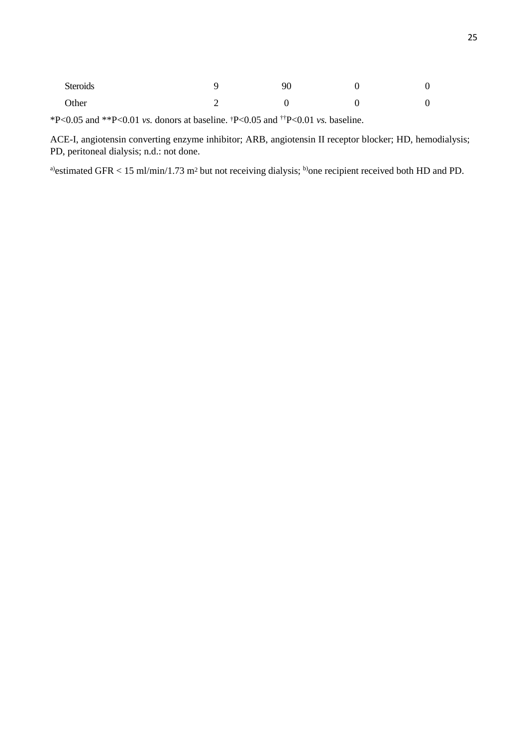| Steroids | 90 | $\sim$ |
|----------|----|--------|
| Other    |    |        |

\*P<0.05 and \*\*P<0.01 *vs.* donors at baseline. †P<0.05 and ††P<0.01 *vs.* baseline.

ACE-I, angiotensin converting enzyme inhibitor; ARB, angiotensin II receptor blocker; HD, hemodialysis; PD, peritoneal dialysis; n.d.: not done.

a)estimated GFR < 15 ml/min/1.73 m<sup>2</sup> but not receiving dialysis; <sup>b</sup>one recipient received both HD and PD.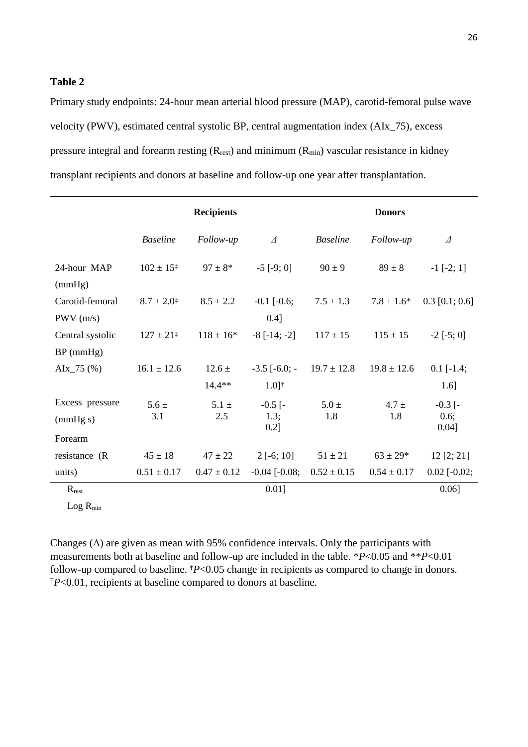# **Table 2**

Primary study endpoints: 24-hour mean arterial blood pressure (MAP), carotid-femoral pulse wave velocity (PWV), estimated central systolic BP, central augmentation index (AIx\_75), excess pressure integral and forearm resting  $(R_{rest})$  and minimum  $(R_{min})$  vascular resistance in kidney transplant recipients and donors at baseline and follow-up one year after transplantation.

|                                        |                          | <b>Recipients</b>      |                               |                                    | <b>Donors</b>    |                               |
|----------------------------------------|--------------------------|------------------------|-------------------------------|------------------------------------|------------------|-------------------------------|
|                                        | <b>Baseline</b>          | Follow-up              | $\varDelta$                   | <b>Baseline</b>                    | Follow-up        | $\varDelta$                   |
| 24-hour MAP<br>(mmHg)                  | $102 \pm 15^{\ddagger}$  | $97 \pm 8*$            | $-5$ [ $-9$ ; 0]              | $90 \pm 9$                         | $89 \pm 8$       | $-1$ [ $-2$ ; 1]              |
| Carotid-femoral<br>PWV(m/s)            | $8.7 \pm 2.0^{\ddagger}$ | $8.5 \pm 2.2$          | $-0.1$ $[-0.6;$<br>0.4]       | $7.5 \pm 1.3$                      | $7.8 \pm 1.6^*$  | $0.3$ [0.1; 0.6]              |
| Central systolic<br>$BP$ (mmHg)        | $127 \pm 21^{\ddagger}$  | $118 \pm 16*$          | $-8$ [ $-14$ ; $-2$ ]         | $117 \pm 15$                       | $115 \pm 15$     | $-2$ [ $-5$ ; 0]              |
| $\text{A}Ix_75$ (%)                    | $16.1 \pm 12.6$          | $12.6 \pm$<br>$14.4**$ | $1.0$ <sup>T</sup>            | $-3.5$ [ $-6.0$ ; $-19.7 \pm 12.8$ | $19.8 \pm 12.6$  | $0.1$ [-1.4;<br>$1.6$ ]       |
| Excess pressure<br>(mmHg s)<br>Forearm | $5.6 \pm$<br>3.1         | $5.1 \pm$<br>2.5       | $-0.5$ [ $-$<br>1.3;<br>0.2]  | $5.0 \pm$<br>1.8                   | $4.7 \pm$<br>1.8 | $-0.3$ [ $-$<br>0.6;<br>0.04] |
| resistance (R)                         | $45 \pm 18$              | $47 \pm 22$            | $2[-6; 10]$                   | $51 \pm 21$                        | $63 \pm 29*$     | 12 [2; 21]                    |
| units)<br>$R_{rest}$                   | $0.51 \pm 0.17$          | $0.47 \pm 0.12$        | $-0.04$ $[-0.08;$<br>$0.01$ ] | $0.52 \pm 0.15$                    | $0.54 \pm 0.17$  | $0.02$ [-0.02;<br>$0.06$ ]    |

 $Log R_{min}$ 

Changes  $(\Delta)$  are given as mean with 95% confidence intervals. Only the participants with measurements both at baseline and follow-up are included in the table. \**P*<0.05 and \*\**P*<0.01 follow-up compared to baseline. <sup>†</sup>*P*<0.05 change in recipients as compared to change in donors. ‡*P*<0.01, recipients at baseline compared to donors at baseline.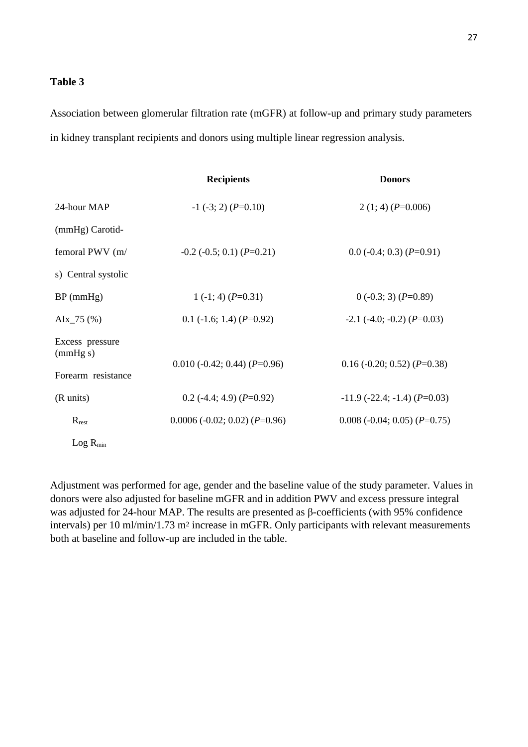# **Table 3**

Association between glomerular filtration rate (mGFR) at follow-up and primary study parameters in kidney transplant recipients and donors using multiple linear regression analysis.

|                                                   | <b>Recipients</b>                   | <b>Donors</b>                             |
|---------------------------------------------------|-------------------------------------|-------------------------------------------|
| 24-hour MAP                                       | $-1$ (-3; 2) (P=0.10)               | 2 (1; 4) ( $P=0.006$ )                    |
| (mmHg) Carotid-                                   |                                     |                                           |
| femoral PWV (m/                                   | $-0.2$ ( $-0.5$ ; 0.1) ( $P=0.21$ ) | $0.0$ (-0.4; 0.3) (P=0.91)                |
| s) Central systolic                               |                                     |                                           |
| $BP$ (mmHg)                                       | 1 $(-1; 4)$ $(P=0.31)$              | $0(-0.3; 3) (P=0.89)$                     |
| $\text{A}Ix_75$ (%)                               | $0.1$ (-1.6; 1.4) (P=0.92)          | $-2.1$ ( $-4.0$ ; $-0.2$ ) ( $P=0.03$ )   |
| Excess pressure<br>(mmHg s)<br>Forearm resistance | $0.010$ (-0.42; 0.44) (P=0.96)      | $0.16$ (-0.20; 0.52) (P=0.38)             |
| (R units)                                         | $0.2$ (-4.4; 4.9) (P=0.92)          | $-11.9$ ( $-22.4$ ; $-1.4$ ) ( $P=0.03$ ) |
| $R_{rest}$                                        | $0.0006 (-0.02; 0.02) (P=0.96)$     | $0.008$ (-0.04; 0.05) (P=0.75)            |
| $Log R_{min}$                                     |                                     |                                           |

Adjustment was performed for age, gender and the baseline value of the study parameter. Values in donors were also adjusted for baseline mGFR and in addition PWV and excess pressure integral was adjusted for 24-hour MAP. The results are presented as β-coefficients (with 95% confidence intervals) per 10 ml/min/1.73 m<sup>2</sup> increase in mGFR. Only participants with relevant measurements both at baseline and follow-up are included in the table.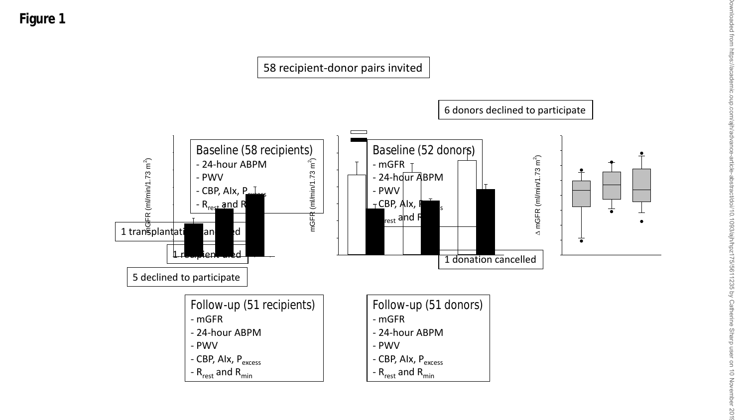

Downloaded from https://academic.oup.com/ajh/advance-article-abstract/doi/10.1093/ajh/hpz175/5611235 by Catherine Sharp user on 10 November 2019 https ਰੋ om/ajh/adv bstract/doi/10.1093/ajh/hpz175/5611235 by Catherine Sharp us ier on 10 November  $-2019$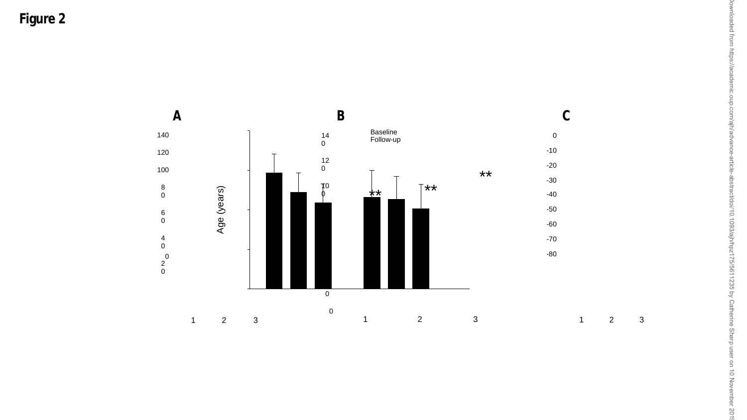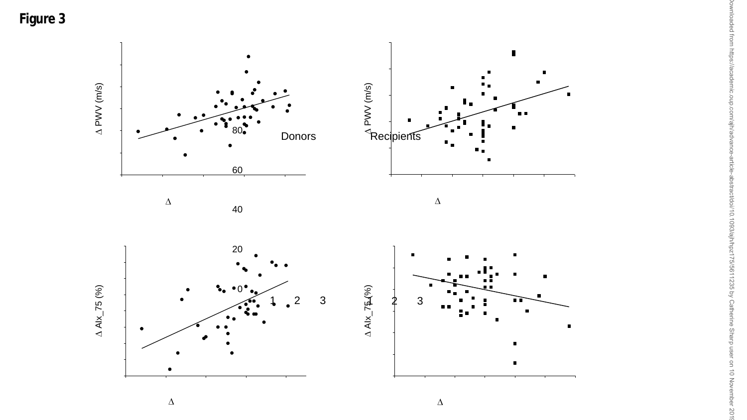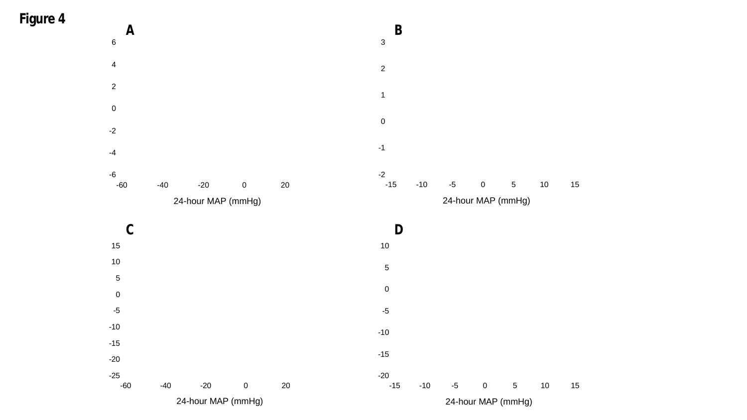



24-hour MAP (mmHg)

-60 -40 -20 0 20

-10

-15

-20

 $-25$ <br> $-60$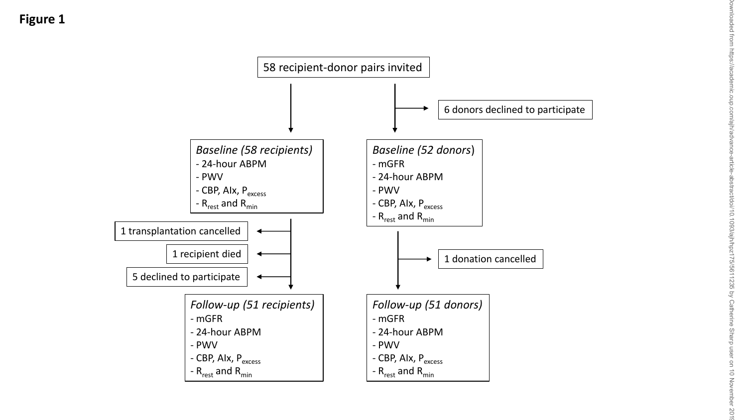

201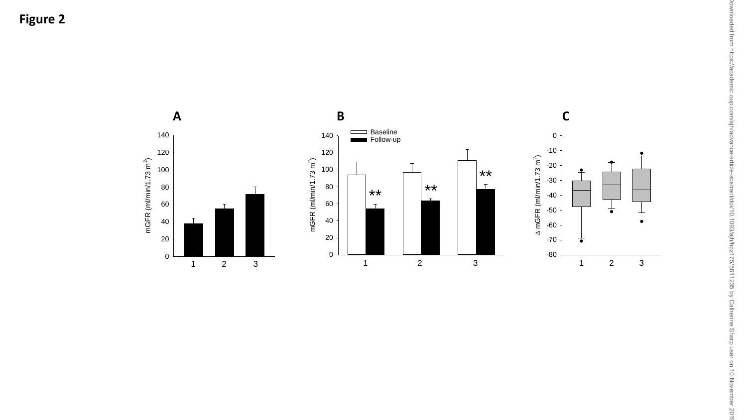

Downloaded from https://academic.oup.com/ajh/advance-article-abstract/doi/10.1093/ajh/hpz175/5611235 by Catherine Sharp user on 10 November 2019Jownloaded from https://academic.oup.com/ajh/advance-article-abstract/doi/10.1093/ajh/hpz175/5611235 by Catherine Sharp user on 10 November 2011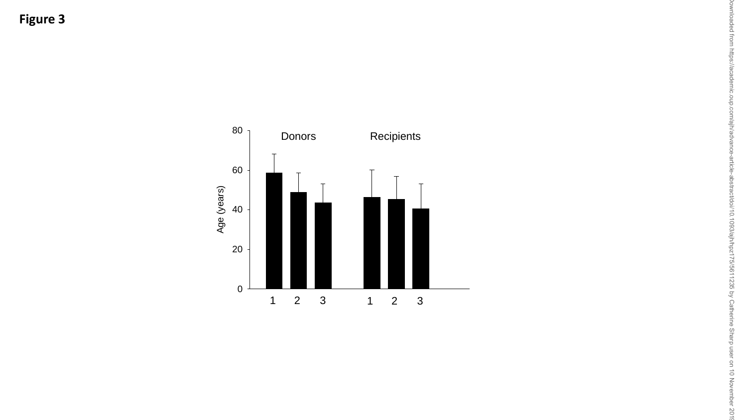